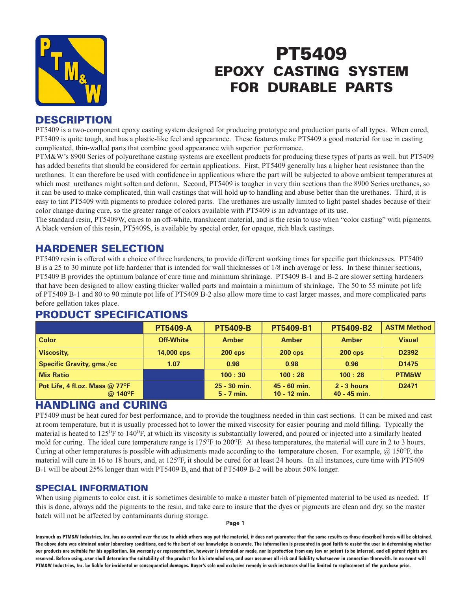

# PT5409 EPOXY CASTING SYSTEM FOR DURABLE PARTS

## **DESCRIPTION**

PT5409 is a two-component epoxy casting system designed for producing prototype and production parts of all types. When cured, PT5409 is quite tough, and has a plastic-like feel and appearance. These features make PT5409 a good material for use in casting complicated, thin-walled parts that combine good appearance with superior performance.

PTM&W's 8900 Series of polyurethane casting systems are excellent products for producing these types of parts as well, but PT5409 has added benefits that should be considered for certain applications. First, PT5409 generally has a higher heat resistance than the urethanes. It can therefore be used with confidence in applications where the part will be subjected to above ambient temperatures at which most urethanes might soften and deform. Second, PT5409 is tougher in very thin sections than the 8900 Series urethanes, so it can be used to make complicated, thin wall castings that will hold up to handling and abuse better than the urethanes. Third, it is easy to tint PT5409 with pigments to produce colored parts. The urethanes are usually limited to light pastel shades because of their color change during cure, so the greater range of colors available with PT5409 is an advantage of its use.

The standard resin, PT5409W, cures to an off-white, translucent material, and is the resin to use when "color casting" with pigments. A black version of this resin, PT5409S, is available by special order, for opaque, rich black castings.

## HARDENER SELECTION

PT5409 resin is offered with a choice of three hardeners, to provide different working times for specific part thicknesses. PT5409 B is a 25 to 30 minute pot life hardener that is intended for wall thicknesses of 1/8 inch average or less. In these thinner sections, PT5409 B provides the optimum balance of cure time and minimum shrinkage. PT5409 B-1 and B-2 are slower setting hardeners that have been designed to allow casting thicker walled parts and maintain a minimum of shrinkage. The 50 to 55 minute pot life of PT5409 B-1 and 80 to 90 minute pot life of PT5409 B-2 also allow more time to cast larger masses, and more complicated parts before gellation takes place.

|                                                                   | <b>PT5409-A</b>  | <b>PT5409-B</b>              | <b>PT5409-B1</b>                 | <b>PT5409-B2</b>                | <b>ASTM Method</b> |
|-------------------------------------------------------------------|------------------|------------------------------|----------------------------------|---------------------------------|--------------------|
| <b>Color</b>                                                      | <b>Off-White</b> | <b>Amber</b>                 | <b>Amber</b>                     | <b>Amber</b>                    | <b>Visual</b>      |
| <b>Viscosity,</b>                                                 | 14,000 cps       | <b>200 cps</b>               | $200$ cps                        | <b>200 cps</b>                  | D2392              |
| <b>Specific Gravity, gms./cc</b>                                  | 1.07             | 0.98                         | 0.98                             | 0.96                            | D <sub>1475</sub>  |
| <b>Mix Ratio</b>                                                  |                  | 100:30                       | 100:28                           | 100:28                          | <b>PTM&amp;W</b>   |
| Pot Life, 4 fl.oz. Mass $@$ 77 ${}^{o}$ F<br>$@$ 140 $^{\circ}$ F |                  | 25 - 30 min.<br>$5 - 7$ min. | $45 - 60$ min.<br>$10 - 12$ min. | $2 - 3$ hours<br>$40 - 45$ min. | D <sub>2471</sub>  |

## PRODUCT SPECIFICATIONS

## HANDLING and CURING

PT5409 must be heat cured for best performance, and to provide the toughness needed in thin cast sections. It can be mixed and cast at room temperature, but it is usually processed hot to lower the mixed viscosity for easier pouring and mold filling. Typically the material is heated to 125<sup>o</sup>F to 140<sup>o</sup>F, at which its viscosity is substantially lowered, and poured or injected into a similarly heated mold for curing. The ideal cure temperature range is 175<sup>O</sup>F to 200<sup>O</sup>F. At these temperatures, the material will cure in 2 to 3 hours. Curing at other temperatures is possible with adjustments made according to the temperature chosen. For example,  $\omega$  150°F, the material will cure in 16 to 18 hours, and, at  $125^{\circ}$ F, it should be cured for at least 24 hours. In all instances, cure time with PT5409 B-1 will be about 25% longer than with PT5409 B, and that of PT5409 B-2 will be about 50% longer.

### SPECIAL INFORMATION

When using pigments to color cast, it is sometimes desirable to make a master batch of pigmented material to be used as needed. If this is done, always add the pigments to the resin, and take care to insure that the dyes or pigments are clean and dry, so the master batch will not be affected by contaminants during storage.

#### **Page 1**

**Inasmuch as PTM&W Industries, Inc. has no control over the use to which others may put the material, it does not guarantee that the same results as those described hereis will be obtained. The above data was obtained under laboratory conditions, and to the best of our knowledge is accurate. The information is presented in good faith to assist the user in determining whether our products are suitable for his application. No warranty or representation, however is intended or made, nor is protection from any law or patent to be inferred, and all patent rights are**  reserved. Before using, user shall determine the suitability of the product for his intended use, and user assumes all risk and liability whatsoever in connection therewith. In no event will **PTM&W Industries, Inc. be liable for incidental or consequential damages. Buyer's sole and exclusive remedy in such instances shall be limited to replacement of the purchase price.**